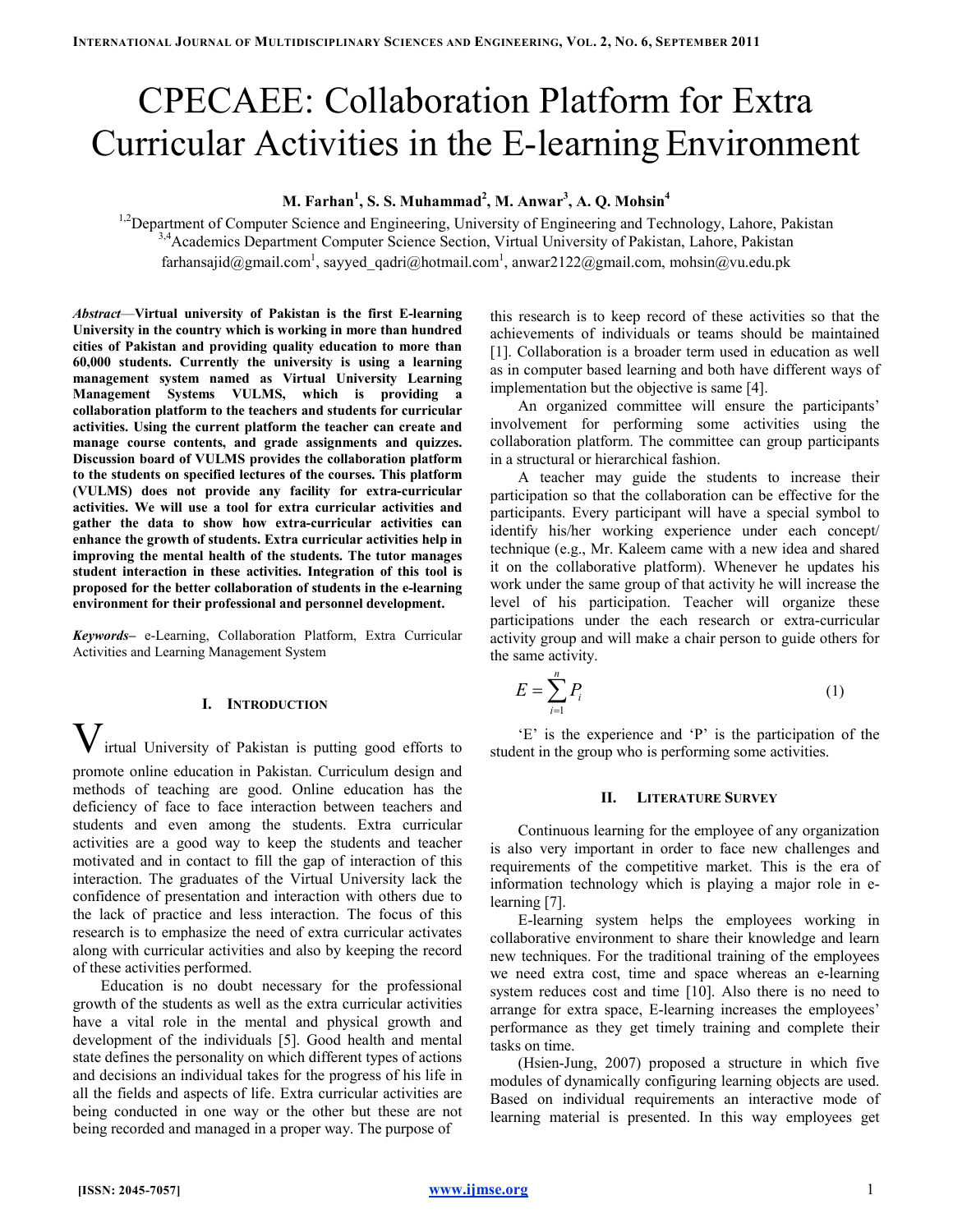# CPECAEE: Collaboration Platform for Extra Curricular Activities in the E-learning Environment

# M. Farhan $^1$ , S. S. Muhammad $^2$ , M. Anwar $^3$ , A. Q. Mohsin $^4$

<sup>1,2</sup>Department of Computer Science and Engineering, University of Engineering and Technology, Lahore, Pakistan <sup>3,4</sup>Academics Department Computer Science Section, Virtual University of Pakistan, Lahore, Pakistan farhansajid@gmail.com<sup>1</sup>, sayyed\_qadri@hotmail.com<sup>1</sup>, anwar2122@gmail.com, mohsin@vu.edu.pk

Abstract—Virtual university of Pakistan is the first E-learning University in the country which is working in more than hundred cities of Pakistan and providing quality education to more than 60,000 students. Currently the university is using a learning management system named as Virtual University Learning Management Systems VULMS, which is providing a collaboration platform to the teachers and students for curricular activities. Using the current platform the teacher can create and manage course contents, and grade assignments and quizzes. Discussion board of VULMS provides the collaboration platform to the students on specified lectures of the courses. This platform (VULMS) does not provide any facility for extra-curricular activities. We will use a tool for extra curricular activities and gather the data to show how extra-curricular activities can enhance the growth of students. Extra curricular activities help in improving the mental health of the students. The tutor manages student interaction in these activities. Integration of this tool is proposed for the better collaboration of students in the e-learning environment for their professional and personnel development.

Keywords– e-Learning, Collaboration Platform, Extra Curricular Activities and Learning Management System

# I. INTRODUCTION

 ${\rm\bf V}$ irtual University of Pakistan is putting good efforts to promote online education in Pakistan. Curriculum design and methods of teaching are good. Online education has the deficiency of face to face interaction between teachers and students and even among the students. Extra curricular activities are a good way to keep the students and teacher motivated and in contact to fill the gap of interaction of this interaction. The graduates of the Virtual University lack the confidence of presentation and interaction with others due to the lack of practice and less interaction. The focus of this research is to emphasize the need of extra curricular activates along with curricular activities and also by keeping the record of these activities performed.

Education is no doubt necessary for the professional growth of the students as well as the extra curricular activities have a vital role in the mental and physical growth and development of the individuals [5]. Good health and mental state defines the personality on which different types of actions and decisions an individual takes for the progress of his life in all the fields and aspects of life. Extra curricular activities are being conducted in one way or the other but these are not being recorded and managed in a proper way. The purpose of

this research is to keep record of these activities so that the achievements of individuals or teams should be maintained [1]. Collaboration is a broader term used in education as well as in computer based learning and both have different ways of implementation but the objective is same [4].

An organized committee will ensure the participants' involvement for performing some activities using the collaboration platform. The committee can group participants in a structural or hierarchical fashion.

A teacher may guide the students to increase their participation so that the collaboration can be effective for the participants. Every participant will have a special symbol to identify his/her working experience under each concept/ technique (e.g., Mr. Kaleem came with a new idea and shared it on the collaborative platform). Whenever he updates his work under the same group of that activity he will increase the level of his participation. Teacher will organize these participations under the each research or extra-curricular activity group and will make a chair person to guide others for the same activity.

$$
E = \sum_{i=1}^{n} P_i \tag{1}
$$

'E' is the experience and 'P' is the participation of the student in the group who is performing some activities.

# II. LITERATURE SURVEY

Continuous learning for the employee of any organization is also very important in order to face new challenges and requirements of the competitive market. This is the era of information technology which is playing a major role in elearning [7].

E-learning system helps the employees working in collaborative environment to share their knowledge and learn new techniques. For the traditional training of the employees we need extra cost, time and space whereas an e-learning system reduces cost and time [10]. Also there is no need to arrange for extra space, E-learning increases the employees' performance as they get timely training and complete their tasks on time.

(Hsien-Jung, 2007) proposed a structure in which five modules of dynamically configuring learning objects are used. Based on individual requirements an interactive mode of learning material is presented. In this way employees get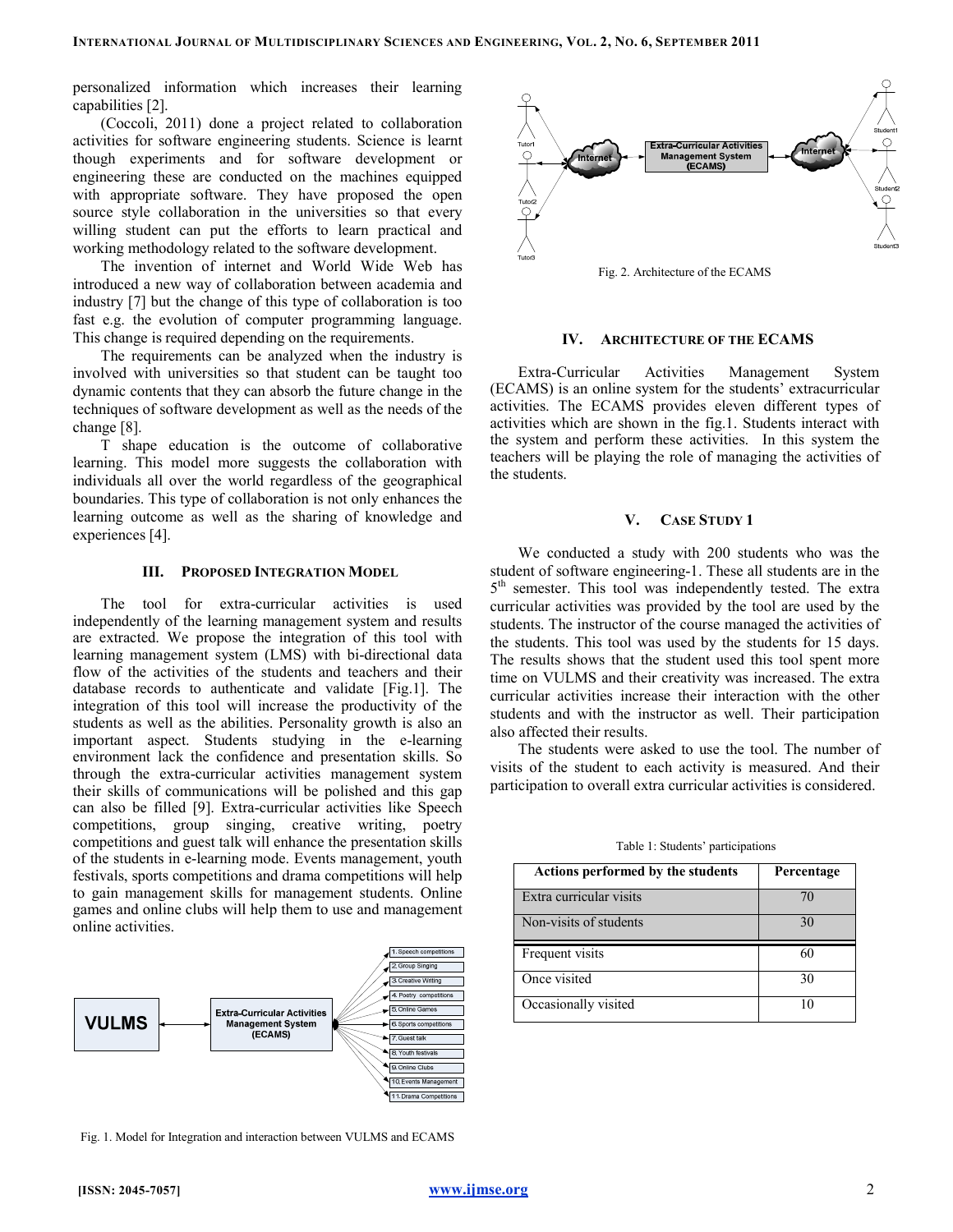personalized information which increases their learning capabilities [2].

(Coccoli, 2011) done a project related to collaboration activities for software engineering students. Science is learnt though experiments and for software development or engineering these are conducted on the machines equipped with appropriate software. They have proposed the open source style collaboration in the universities so that every willing student can put the efforts to learn practical and working methodology related to the software development.

The invention of internet and World Wide Web has introduced a new way of collaboration between academia and industry [7] but the change of this type of collaboration is too fast e.g. the evolution of computer programming language. This change is required depending on the requirements.

The requirements can be analyzed when the industry is involved with universities so that student can be taught too dynamic contents that they can absorb the future change in the techniques of software development as well as the needs of the change [8].

T shape education is the outcome of collaborative learning. This model more suggests the collaboration with individuals all over the world regardless of the geographical boundaries. This type of collaboration is not only enhances the learning outcome as well as the sharing of knowledge and experiences [4].

#### III. PROPOSED INTEGRATION MODEL

The tool for extra-curricular activities is used independently of the learning management system and results are extracted. We propose the integration of this tool with learning management system (LMS) with bi-directional data flow of the activities of the students and teachers and their database records to authenticate and validate [Fig.1]. The integration of this tool will increase the productivity of the students as well as the abilities. Personality growth is also an important aspect. Students studying in the e-learning environment lack the confidence and presentation skills. So through the extra-curricular activities management system their skills of communications will be polished and this gap can also be filled [9]. Extra-curricular activities like Speech competitions, group singing, creative writing, poetry competitions and guest talk will enhance the presentation skills of the students in e-learning mode. Events management, youth festivals, sports competitions and drama competitions will help to gain management skills for management students. Online games and online clubs will help them to use and management online activities.



Fig. 1. Model for Integration and interaction between VULMS and ECAMS



Fig. 2. Architecture of the ECAMS

#### IV. ARCHITECTURE OF THE ECAMS

Extra-Curricular Activities Management System (ECAMS) is an online system for the students' extracurricular activities. The ECAMS provides eleven different types of activities which are shown in the fig.1. Students interact with the system and perform these activities. In this system the teachers will be playing the role of managing the activities of the students.

#### V. CASE STUDY 1

We conducted a study with 200 students who was the student of software engineering-1. These all students are in the 5<sup>th</sup> semester. This tool was independently tested. The extra curricular activities was provided by the tool are used by the students. The instructor of the course managed the activities of the students. This tool was used by the students for 15 days. The results shows that the student used this tool spent more time on VULMS and their creativity was increased. The extra curricular activities increase their interaction with the other students and with the instructor as well. Their participation also affected their results.

The students were asked to use the tool. The number of visits of the student to each activity is measured. And their participation to overall extra curricular activities is considered.

Table 1: Students' participations

| Actions performed by the students | Percentage |
|-----------------------------------|------------|
| Extra curricular visits           |            |
| Non-visits of students            | 30         |
| Frequent visits                   | 60         |
| Once visited                      | 30         |
| Occasionally visited              | 10         |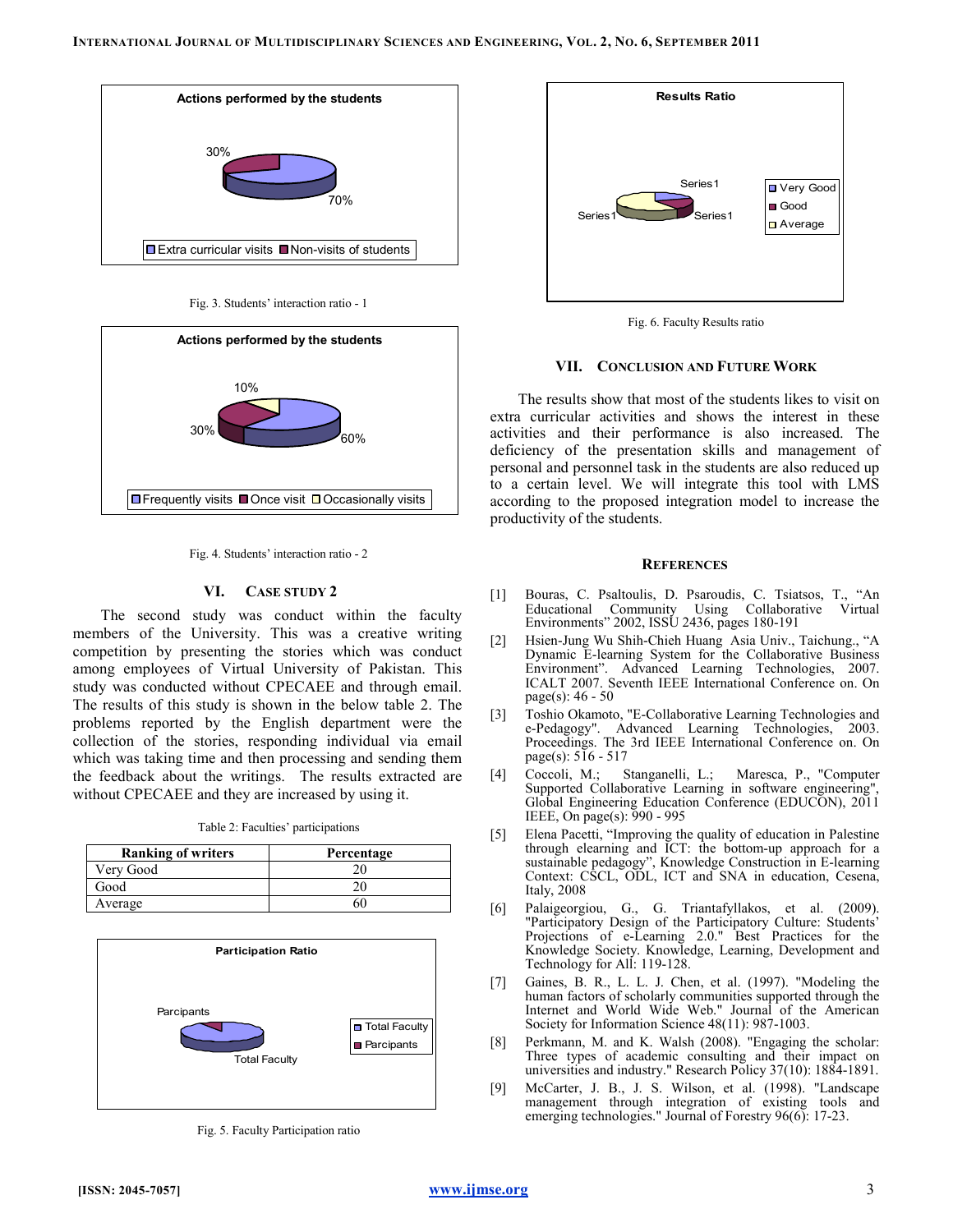

Fig. 3. Students' interaction ratio - 1



Fig. 4. Students' interaction ratio - 2

# VI. CASE STUDY 2

The second study was conduct within the faculty members of the University. This was a creative writing competition by presenting the stories which was conduct among employees of Virtual University of Pakistan. This study was conducted without CPECAEE and through email. The results of this study is shown in the below table 2. The problems reported by the English department were the collection of the stories, responding individual via email which was taking time and then processing and sending them the feedback about the writings. The results extracted are without CPECAEE and they are increased by using it.

Table 2: Faculties' participations

| <b>Ranking of writers</b> | Percentage |
|---------------------------|------------|
| Very Good                 |            |
| Good                      |            |
| Average                   | ור         |



Fig. 5. Faculty Participation ratio



Fig. 6. Faculty Results ratio

#### VII. CONCLUSION AND FUTURE WORK

The results show that most of the students likes to visit on extra curricular activities and shows the interest in these activities and their performance is also increased. The deficiency of the presentation skills and management of personal and personnel task in the students are also reduced up to a certain level. We will integrate this tool with LMS according to the proposed integration model to increase the productivity of the students.

#### **REFERENCES**

- [1] Bouras, C. Psaltoulis, D. Psaroudis, C. Tsiatsos, T., "An Educational Community Using Collaborative Virtual Environments" 2002, ISSU 2436, pages 180-191
- [2] Hsien-Jung Wu Shih-Chieh Huang Asia Univ., Taichung., "A Dynamic E-learning System for the Collaborative Business Environment". Advanced Learning Technologies, 2007. ICALT 2007. Seventh IEEE International Conference on. On page(s): 46 - 50
- [3] Toshio Okamoto, "E-Collaborative Learning Technologies and e-Pedagogy". Advanced Learning Technologies, 2003. Proceedings. The 3rd IEEE International Conference on. On page(s): 516 - 517
- [4] Coccoli, M.; Stanganelli, L.; Maresca, P., "Computer Supported Collaborative Learning in software engineering" Global Engineering Education Conference (EDUCON), 2011 IEEE, On page(s): 990 - 995
- [5] Elena Pacetti, "Improving the quality of education in Palestine through elearning and ICT: the bottom-up approach for a sustainable pedagogy", Knowledge Construction in E-learning Context: CSCL, ODL, ICT and SNA in education, Cesena, Italy, 2008
- [6] Palaigeorgiou, G., G. Triantafyllakos, et al. (2009). "Participatory Design of the Participatory Culture: Students' Projections of e-Learning 2.0." Best Practices for the Knowledge Society. Knowledge, Learning, Development and Technology for All: 119-128.
- [7] Gaines, B. R., L. L. J. Chen, et al. (1997). "Modeling the human factors of scholarly communities supported through the Internet and World Wide Web." Journal of the American Society for Information Science 48(11): 987-1003.
- [8] Perkmann, M. and K. Walsh (2008). "Engaging the scholar: Three types of academic consulting and their impact on universities and industry." Research Policy 37(10): 1884-1891.
- [9] McCarter, J. B., J. S. Wilson, et al. (1998). "Landscape management through integration of existing tools and emerging technologies." Journal of Forestry 96(6): 17-23.